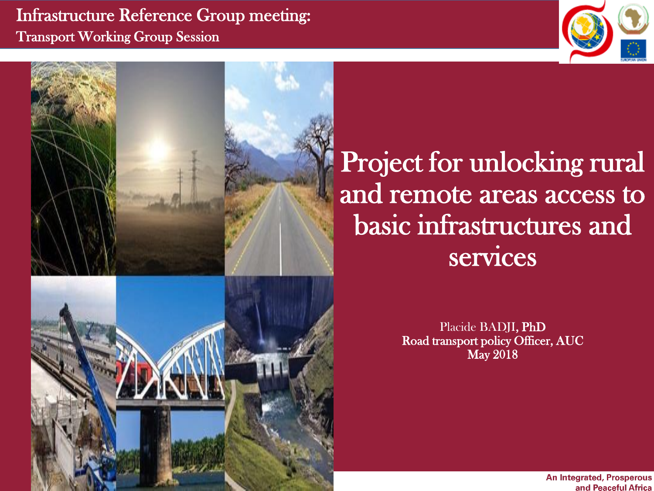## Infrastructure Reference Group meeting: Transport Working Group Session





Project for unlocking rural and remote areas access to basic infrastructures and services

> Placide BADJI, PhD Road transport policy Officer, AUC **May 2018**

> > **An Integrated, Prosperous** and Peaceful Africa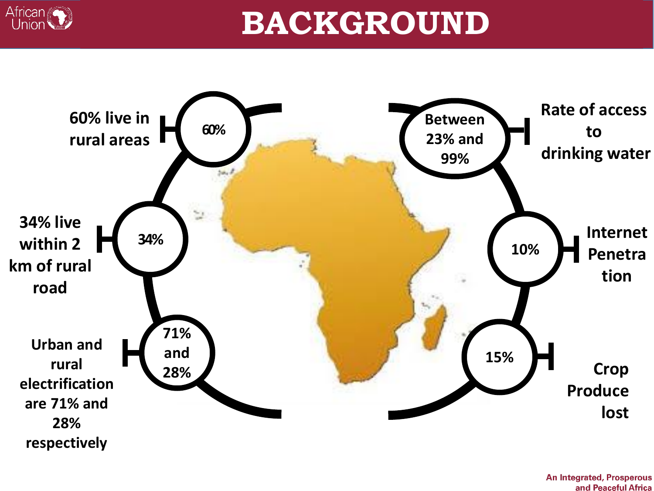

# **BACKGROUND**

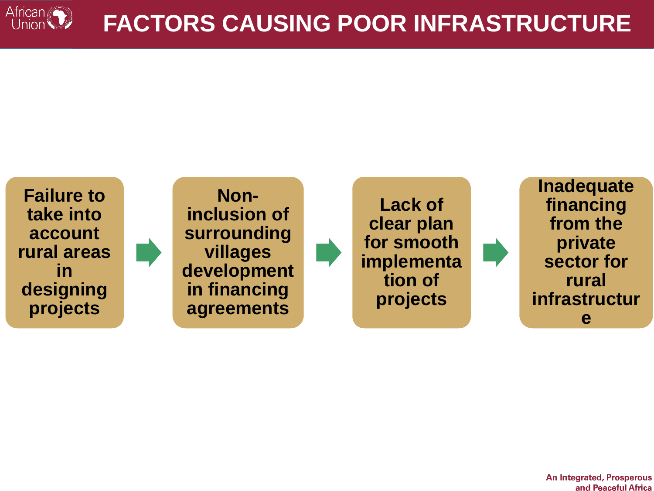

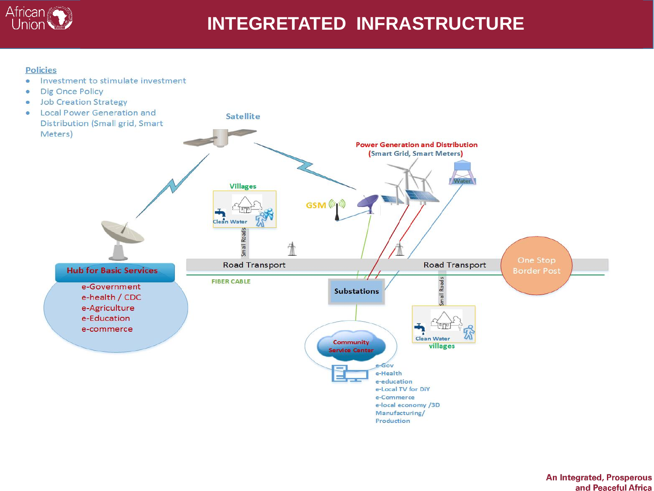

## **INTEGRETATED INFRASTRUCTURE**

#### **Policies**

- Investment to stimulate investment  $\bullet$
- Dig Once Policy  $\bullet$
- **Job Creation Strategy**  $\bullet$

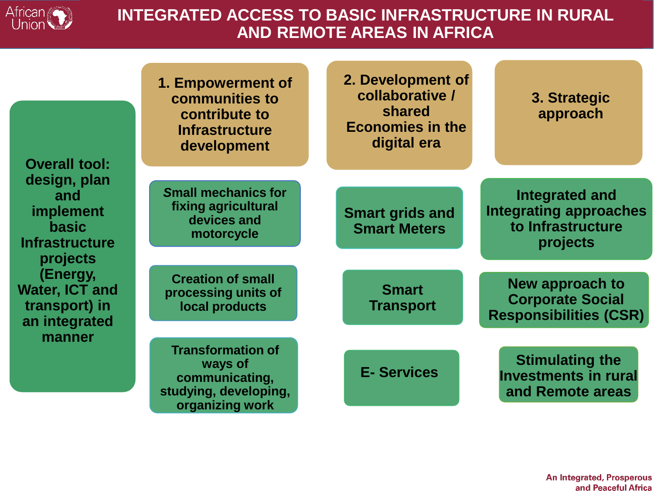

### **INTEGRATED ACCESS TO BASIC INFRASTRUCTURE IN RURAL AND REMOTE AREAS IN AFRICA**

| <b>Overall tool:</b>                                                                  | 1. Empowerment of<br>communities to<br>contribute to<br><b>Infrastructure</b><br>development      | 2. Development of<br>collaborative /<br>shared<br><b>Economies in the</b><br>digital era | 3. Strategic<br>approach                                                    |
|---------------------------------------------------------------------------------------|---------------------------------------------------------------------------------------------------|------------------------------------------------------------------------------------------|-----------------------------------------------------------------------------|
| design, plan<br>and<br>implement<br><b>basic</b><br><b>Infrastructure</b><br>projects | <b>Small mechanics for</b><br>fixing agricultural<br>devices and<br>motorcycle                    | <b>Smart grids and</b><br><b>Smart Meters</b>                                            | Integrated and<br>Integrating approaches<br>to Infrastructure<br>projects   |
| (Energy,<br><b>Water, ICT and</b><br>transport) in<br>an integrated                   | <b>Creation of small</b><br>processing units of<br>local products                                 | <b>Smart</b><br><b>Transport</b>                                                         | New approach to<br><b>Corporate Social</b><br><b>Responsibilities (CSR)</b> |
| manner                                                                                | <b>Transformation of</b><br>ways of<br>communicating,<br>studying, developing,<br>organizing work | <b>E-Services</b>                                                                        | <b>Stimulating the</b><br><b>Investments in rural</b><br>and Remote areas   |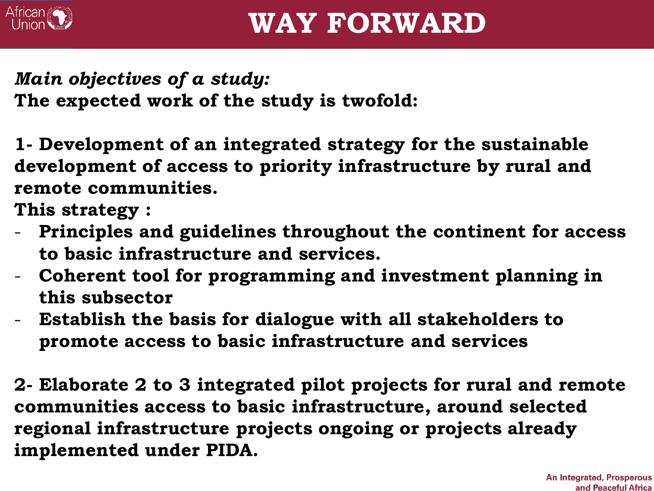

*Main objectives of a study:* **The expected work of the study is twofold:**

**1- Development of an integrated strategy for the sustainable development of access to priority infrastructure by rural and remote communities.** 

**This strategy :**

- **Principles and guidelines throughout the continent for access to basic infrastructure and services.**
- **Coherent tool for programming and investment planning in this subsector**
- **Establish the basis for dialogue with all stakeholders to promote access to basic infrastructure and services**

**2- Elaborate 2 to 3 integrated pilot projects for rural and remote communities access to basic infrastructure, around selected regional infrastructure projects ongoing or projects already implemented under PIDA.**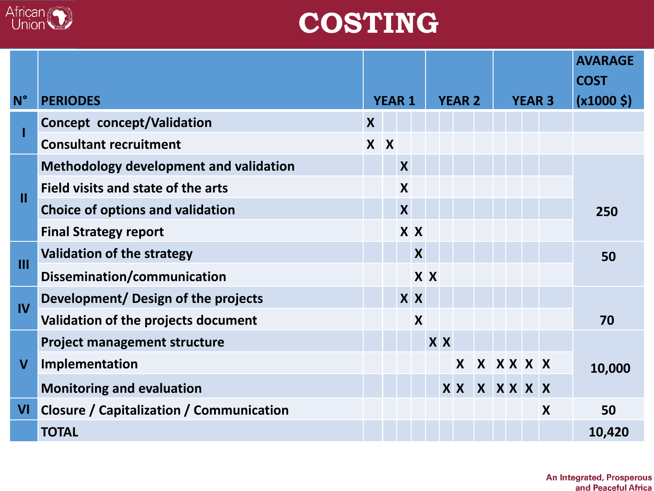

# **COSTING**

|               |                                                 |                  |  |                  |                  |           |               |         |           |  | <b>AVARAGE</b><br><b>COST</b> |  |   |        |  |
|---------------|-------------------------------------------------|------------------|--|------------------|------------------|-----------|---------------|---------|-----------|--|-------------------------------|--|---|--------|--|
| $N^{\circ}$   | <b>PERIODES</b>                                 | <b>YEAR 1</b>    |  | <b>YEAR 2</b>    |                  |           | <b>YEAR 3</b> |         |           |  | $(x1000 \; \zeta)$            |  |   |        |  |
|               | <b>Concept concept/Validation</b>               | $\boldsymbol{X}$ |  |                  |                  |           |               |         |           |  |                               |  |   |        |  |
|               | <b>Consultant recruitment</b>                   | $X$ $X$          |  |                  |                  |           |               |         |           |  |                               |  |   |        |  |
|               | Methodology development and validation          |                  |  | $\boldsymbol{X}$ |                  |           |               |         |           |  |                               |  |   |        |  |
| $\mathbf{II}$ | Field visits and state of the arts              |                  |  | $\boldsymbol{X}$ |                  |           |               |         |           |  |                               |  |   |        |  |
|               | Choice of options and validation                |                  |  | $\boldsymbol{X}$ |                  |           |               |         |           |  |                               |  |   | 250    |  |
|               | <b>Final Strategy report</b>                    |                  |  |                  | X X              |           |               |         |           |  |                               |  |   |        |  |
| III           | <b>Validation of the strategy</b>               |                  |  |                  | $\boldsymbol{X}$ |           |               |         |           |  |                               |  |   | 50     |  |
|               | Dissemination/communication                     |                  |  |                  | X X              |           |               |         |           |  |                               |  |   |        |  |
| IV            | Development/ Design of the projects             |                  |  |                  | <b>XX</b>        |           |               |         |           |  |                               |  |   |        |  |
|               | Validation of the projects document             |                  |  |                  | X                |           |               |         |           |  |                               |  |   | 70     |  |
|               | <b>Project management structure</b>             |                  |  |                  |                  | <b>XX</b> |               |         |           |  |                               |  |   |        |  |
| $\mathbf V$   | Implementation                                  |                  |  |                  |                  |           |               | X       | X X X X X |  |                               |  |   | 10,000 |  |
|               | <b>Monitoring and evaluation</b>                |                  |  |                  |                  |           |               | XXXXXXX |           |  |                               |  |   |        |  |
| VI            | <b>Closure / Capitalization / Communication</b> |                  |  |                  |                  |           |               |         |           |  |                               |  | X | 50     |  |
|               | <b>TOTAL</b>                                    |                  |  |                  |                  |           |               |         |           |  |                               |  |   | 10,420 |  |